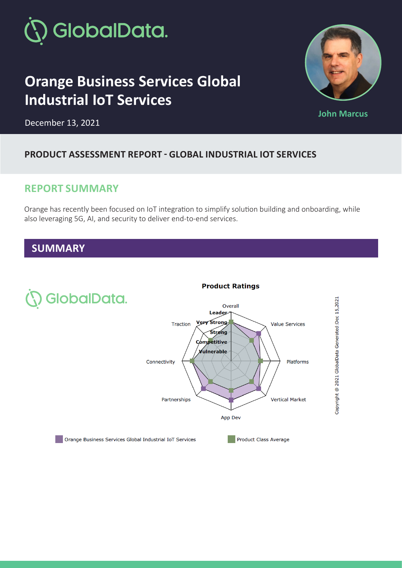

# **Orange Business Services Global Industrial IoT Services**



**John Marcus** 

December 13, 2021

#### **PRODUCT ASSESSMENT REPORT - GLOBAL INDUSTRIAL IOT SERVICES**

### **REPORT SUMMARY**

Orange has recently been focused on IoT integration to simplify solution building and onboarding, while also leveraging 5G, AI, and security to deliver end-to-end services.

#### **SUMMARY**



#### **Product Ratings**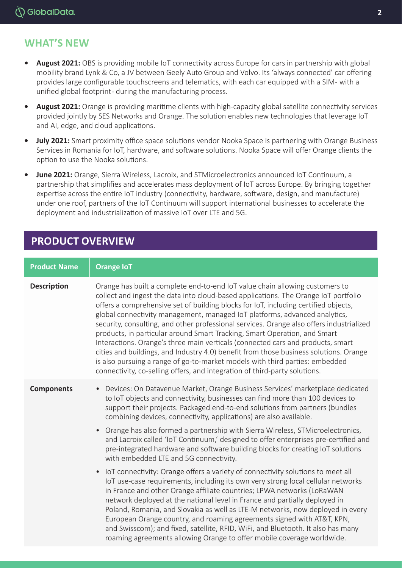## **WHAT'S NEW**

- **• August 2021:** OBS is providing mobile IoT connectivity across Europe for cars in partnership with global mobility brand Lynk & Co, a JV between Geely Auto Group and Volvo. Its 'always connected' car offering provides large configurable touchscreens and telematics, with each car equipped with a SIM - with a unified global footprint - during the manufacturing process.
- **• August 2021:** Orange is providing maritime clients with high-capacity global satellite connectivity services provided jointly by SES Networks and Orange. The solution enables new technologies that leverage IoT and AI, edge, and cloud applications.
- **• July 2021:** Smart proximity office space solutions vendor Nooka Space is partnering with Orange Business Services in Romania for IoT, hardware, and software solutions. Nooka Space will offer Orange clients the option to use the Nooka solutions.
- **• June 2021:** Orange, Sierra Wireless, Lacroix, and STMicroelectronics announced IoT Continuum, a partnership that simplifies and accelerates mass deployment of IoT across Europe. By bringing together expertise across the entire IoT industry (connectivity, hardware, software, design, and manufacture) under one roof, partners of the IoT Continuum will support international businesses to accelerate the deployment and industrialization of massive IoT over LTE and 5G.

## **PRODUCT OVERVIEW**

#### **Product Name | Orange IoT Description** Orange has built a complete end-to-end IoT value chain allowing customers to collect and ingest the data into cloud-based applications. The Orange IoT portfolio offers a comprehensive set of building blocks for IoT, including certified objects, global connectivity management, managed IoT platforms, advanced analytics, security, consulting, and other professional services. Orange also offers industrialized products, in particular around Smart Tracking, Smart Operation, and Smart Interactions. Orange's three main verticals (connected cars and products, smart cities and buildings, and Industry 4.0) benefit from those business solutions. Orange is also pursuing a range of go-to-market models with third parties: embedded connectivity, co-selling offers, and integration of third-party solutions. **Components** • Devices: On Datavenue Market, Orange Business Services' marketplace dedicated to IoT objects and connectivity, businesses can find more than 100 devices to support their projects. Packaged end-to-end solutions from partners (bundles combining devices, connectivity, applications) are also available. • Orange has also formed a partnership with Sierra Wireless, STMicroelectronics, and Lacroix called 'IoT Continuum,' designed to offer enterprises pre-certified and pre-integrated hardware and software building blocks for creating IoT solutions with embedded LTE and 5G connectivity. • IoT connectivity: Orange offers a variety of connectivity solutions to meet all IoT use-case requirements, including its own very strong local cellular networks in France and other Orange affiliate countries; LPWA networks (LoRaWAN network deployed at the national level in France and partially deployed in Poland, Romania, and Slovakia as well as LTE-M networks, now deployed in every European Orange country, and roaming agreements signed with AT&T, KPN, and Swisscom); and fixed, satellite, RFID, WiFi, and Bluetooth. It also has many roaming agreements allowing Orange to offer mobile coverage worldwide.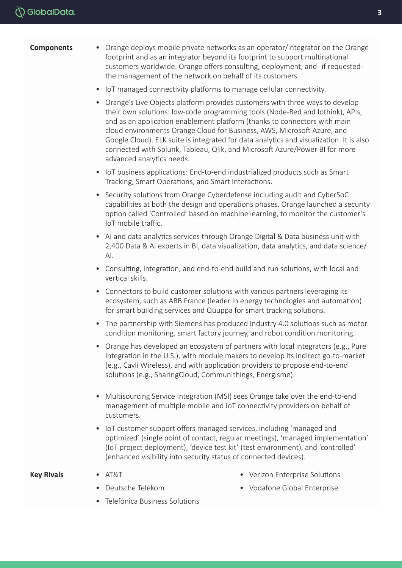- **Components** Orange deploys mobile private networks as an operator/integrator on the Orange footprint and as an integrator beyond its footprint to support multinational customers worldwide. Orange offers consulting, deployment, and - if requested the management of the network on behalf of its customers.
	- IoT managed connectivity platforms to manage cellular connectivity.
	- Orange's Live Objects platform provides customers with three ways to develop their own solutions: low-code programming tools (Node-Red and Iothink), APIs, and as an application enablement platform (thanks to connectors with main cloud environments Orange Cloud for Business, AWS, Microsoft Azure, and Google Cloud). ELK suite is integrated for data analytics and visualization. It is also connected with Splunk, Tableau, Qlik, and Microsoft Azure/Power BI for more advanced analytics needs.
	- IoT business applications: End-to-end industrialized products such as Smart Tracking, Smart Operations, and Smart Interactions.
	- Security solutions from Orange Cyberdefense including audit and CyberSoC capabilities at both the design and operations phases. Orange launched a security option called 'Controlled' based on machine learning, to monitor the customer's IoT mobile traffic.
	- AI and data analytics services through Orange Digital & Data business unit with 2,400 Data & AI experts in BI, data visualization, data analytics, and data science/ AI.
	- Consulting, integration, and end-to-end build and run solutions, with local and vertical skills.
	- Connectors to build customer solutions with various partners leveraging its ecosystem, such as ABB France (leader in energy technologies and automation) for smart building services and Quuppa for smart tracking solutions.
	- The partnership with Siemens has produced Industry 4.0 solutions such as motor condition monitoring, smart factory journey, and robot condition monitoring.
	- Orange has developed an ecosystem of partners with local integrators (e.g., Pure Integration in the U.S.), with module makers to develop its indirect go-to-market (e.g., Cavli Wireless), and with application providers to propose end-to-end solutions (e.g., SharingCloud, Communithings, Energisme).
	- Multisourcing Service Integration (MSI) sees Orange take over the end-to-end management of multiple mobile and IoT connectivity providers on behalf of customers.
	- IoT customer support offers managed services, including 'managed and optimized' (single point of contact, regular meetings), 'managed implementation' (IoT project deployment), 'device test kit' (test environment), and 'controlled' (enhanced visibility into security status of connected devices).

#### **Key Rivals** • AT&T

- 
- Deutsche Telekom
- Telefónica Business Solutions
- Verizon Enterprise Solutions • Vodafone Global Enterprise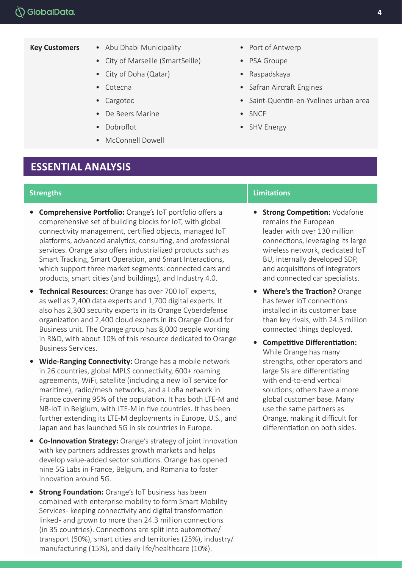- **Key Customers** Abu Dhabi Municipality
	- City of Marseille (SmartSeille)
	- City of Doha (Qatar)
	- Cotecna
	- Cargotec
	- De Beers Marine
	- Dobroflot
	- McConnell Dowell

#### **ESSENTIAL ANALYSIS**

- **• Comprehensive Portfolio:** Orange's IoT portfolio offers a comprehensive set of building blocks for IoT, with global connectivity management, certified objects, managed IoT platforms, advanced analytics, consulting, and professional services. Orange also offers industrialized products such as Smart Tracking, Smart Operation, and Smart Interactions, which support three market segments: connected cars and products, smart cities (and buildings), and Industry 4.0.
- **• Technical Resources:** Orange has over 700 IoT experts, as well as 2,400 data experts and 1,700 digital experts. It also has 2,300 security experts in its Orange Cyberdefense organization and 2,400 cloud experts in its Orange Cloud for Business unit. The Orange group has 8,000 people working in R&D, with about 10% of this resource dedicated to Orange Business Services.
- **• Wide-Ranging Connectivity:** Orange has a mobile network in 26 countries, global MPLS connectivity, 600+ roaming agreements, WiFi, satellite (including a new IoT service for maritime), radio/mesh networks, and a LoRa network in France covering 95% of the population. It has both LTE-M and NB-IoT in Belgium, with LTE-M in five countries. It has been further extending its LTE-M deployments in Europe, U.S., and Japan and has launched 5G in six countries in Europe.
- **• Co-Innovation Strategy:** Orange's strategy of joint innovation with key partners addresses growth markets and helps develop value-added sector solutions. Orange has opened nine 5G Labs in France, Belgium, and Romania to foster innovation around 5G.
- **Strong Foundation:** Orange's IoT business has been combined with enterprise mobility to form Smart Mobility Services- keeping connectivity and digital transformation linked- and grown to more than 24.3 million connections (in 35 countries). Connections are split into automotive/ transport (50%), smart cities and territories (25%), industry/ manufacturing (15%), and daily life/healthcare (10%).
- Port of Antwerp
- PSA Groupe
- Raspadskaya
- Safran Aircraft Engines
- Saint-Quentin-en-Yvelines urban area
- SNCF
- SHV Energy

#### **Strengths Limitations Limitations Limitations Limitations**

- **• Strong Competition:** Vodafone remains the European leader with over 130 million connections, leveraging its large wireless network, dedicated IoT BU, internally developed SDP, and acquisitions of integrators and connected car specialists.
- **• Where's the Traction?** Orange has fewer IoT connections installed in its customer base than key rivals, with 24.3 million connected things deployed.
- **• Competitive Differentiation:** While Orange has many strengths, other operators and large SIs are differentiating with end-to-end vertical solutions; others have a more global customer base. Many use the same partners as Orange, making it difficult for differentiation on both sides.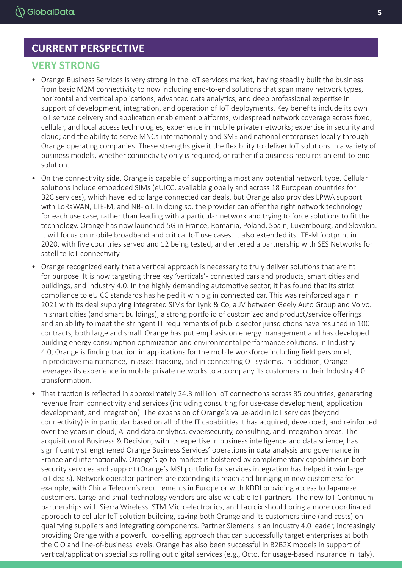### **CURRENT PERSPECTIVE**

#### **VERY STRONG**

- Orange Business Services is very strong in the IoT services market, having steadily built the business from basic M2M connectivity to now including end-to-end solutions that span many network types, horizontal and vertical applications, advanced data analytics, and deep professional expertise in support of development, integration, and operation of IoT deployments. Key benefits include its own IoT service delivery and application enablement platforms; widespread network coverage across fixed, cellular, and local access technologies; experience in mobile private networks; expertise in security and cloud; and the ability to serve MNCs internationally and SME and national enterprises locally through Orange operating companies. These strengths give it the flexibility to deliver IoT solutions in a variety of business models, whether connectivity only is required, or rather if a business requires an end-to-end solution.
- On the connectivity side, Orange is capable of supporting almost any potential network type. Cellular solutions include embedded SIMs (eUICC, available globally and across 18 European countries for B2C services), which have led to large connected car deals, but Orange also provides LPWA support with LoRaWAN, LTE-M, and NB-IoT. In doing so, the provider can offer the right network technology for each use case, rather than leading with a particular network and trying to force solutions to fit the technology. Orange has now launched 5G in France, Romania, Poland, Spain, Luxembourg, and Slovakia. It will focus on mobile broadband and critical IoT use cases. It also extended its LTE-M footprint in 2020, with five countries served and 12 being tested, and entered a partnership with SES Networks for satellite IoT connectivity.
- Orange recognized early that a vertical approach is necessary to truly deliver solutions that are fit for purpose. It is now targeting three key 'verticals'- connected cars and products, smart cities and buildings, and Industry 4.0. In the highly demanding automotive sector, it has found that its strict compliance to eUICC standards has helped it win big in connected car. This was reinforced again in 2021 with its deal supplying integrated SIMs for Lynk & Co, a JV between Geely Auto Group and Volvo. In smart cities (and smart buildings), a strong portfolio of customized and product/service offerings and an ability to meet the stringent IT requirements of public sector jurisdictions have resulted in 100 contracts, both large and small. Orange has put emphasis on energy management and has developed building energy consumption optimization and environmental performance solutions. In Industry 4.0, Orange is finding traction in applications for the mobile workforce including field personnel, in predictive maintenance, in asset tracking, and in connecting OT systems. In addition, Orange leverages its experience in mobile private networks to accompany its customers in their Industry 4.0 transformation.
- That traction is reflected in approximately 24.3 million IoT connections across 35 countries, generating revenue from connectivity and services (including consulting for use-case development, application development, and integration). The expansion of Orange's value-add in IoT services (beyond connectivity) is in particular based on all of the IT capabilities it has acquired, developed, and reinforced over the years in cloud, AI and data analytics, cybersecurity, consulting, and integration areas. The acquisition of Business & Decision, with its expertise in business intelligence and data science, has significantly strengthened Orange Business Services' operations in data analysis and governance in France and internationally. Orange's go-to-market is bolstered by complementary capabilities in both security services and support (Orange's MSI portfolio for services integration has helped it win large IoT deals). Network operator partners are extending its reach and bringing in new customers: for example, with China Telecom's requirements in Europe or with KDDI providing access to Japanese customers. Large and small technology vendors are also valuable IoT partners. The new IoT Continuum partnerships with Sierra Wireless, STM Microelectronics, and Lacroix should bring a more coordinated approach to cellular IoT solution building, saving both Orange and its customers time (and costs) on qualifying suppliers and integrating components. Partner Siemens is an Industry 4.0 leader, increasingly providing Orange with a powerful co-selling approach that can successfully target enterprises at both the CIO and line-of-business levels. Orange has also been successful in B2B2X models in support of vertical/application specialists rolling out digital services (e.g., Octo, for usage-based insurance in Italy).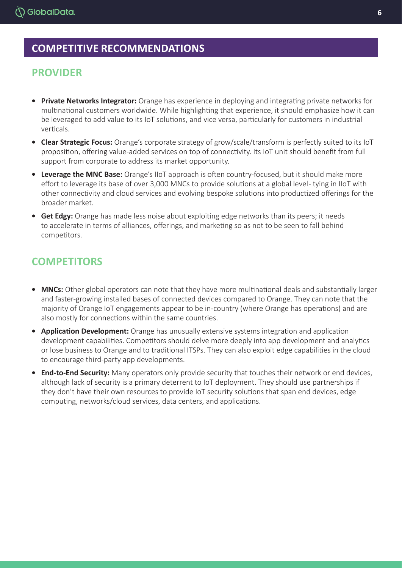## **COMPETITIVE RECOMMENDATIONS**

### **PROVIDER**

- **• Private Networks Integrator:** Orange has experience in deploying and integrating private networks for multinational customers worldwide. While highlighting that experience, it should emphasize how it can be leveraged to add value to its IoT solutions, and vice versa, particularly for customers in industrial verticals.
- **• Clear Strategic Focus:** Orange's corporate strategy of grow/scale/transform is perfectly suited to its IoT proposition, offering value-added services on top of connectivity. Its IoT unit should benefit from full support from corporate to address its market opportunity.
- **• Leverage the MNC Base:** Orange's IIoT approach is often country-focused, but it should make more effort to leverage its base of over 3,000 MNCs to provide solutions at a global level-tying in IIoT with other connectivity and cloud services and evolving bespoke solutions into productized offerings for the broader market.
- **• Get Edgy:** Orange has made less noise about exploiting edge networks than its peers; it needs to accelerate in terms of alliances, offerings, and marketing so as not to be seen to fall behind competitors.

## **COMPETITORS**

- **• MNCs:** Other global operators can note that they have more multinational deals and substantially larger and faster-growing installed bases of connected devices compared to Orange. They can note that the majority of Orange IoT engagements appear to be in-country (where Orange has operations) and are also mostly for connections within the same countries.
- **• Application Development:** Orange has unusually extensive systems integration and application development capabilities. Competitors should delve more deeply into app development and analytics or lose business to Orange and to traditional ITSPs. They can also exploit edge capabilities in the cloud to encourage third-party app developments.
- **• End-to-End Security:** Many operators only provide security that touches their network or end devices, although lack of security is a primary deterrent to IoT deployment. They should use partnerships if they don't have their own resources to provide IoT security solutions that span end devices, edge computing, networks/cloud services, data centers, and applications.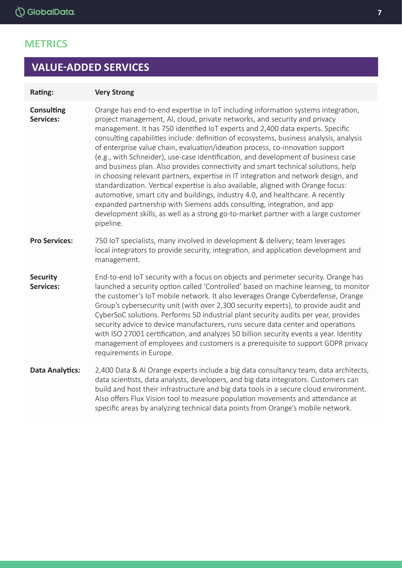## **METRICS**

## **VALUE-ADDED SERVICES**

#### **Rating: Very Strong**

**Consulting Services:**  Orange has end-to-end expertise in IoT including information systems integration, project management, AI, cloud, private networks, and security and privacy management. It has 750 identified IoT experts and 2,400 data experts. Specific consulting capabilities include: definition of ecosystems, business analysis, analysis of enterprise value chain, evaluation/ideation process, co-innovation support (e.g., with Schneider), use-case identification, and development of business case and business plan. Also provides connectivity and smart technical solutions, help in choosing relevant partners, expertise in IT integration and network design, and standardization. Vertical expertise is also available, aligned with Orange focus: automotive, smart city and buildings, industry 4.0, and healthcare. A recently expanded partnership with Siemens adds consulting, integration, and app development skills, as well as a strong go-to-market partner with a large customer pipeline.

#### **Pro Services:** 750 IoT specialists, many involved in development & delivery; team leverages local integrators to provide security, integration, and application development and management.

#### **Security Services:** End-to-end IoT security with a focus on objects and perimeter security. Orange has launched a security option called 'Controlled' based on machine learning, to monitor the customer's IoT mobile network. It also leverages Orange Cyberdefense, Orange Group's cybersecurity unit (with over 2,300 security experts), to provide audit and CyberSoC solutions. Performs 50 industrial plant security audits per year, provides security advice to device manufacturers, runs secure data center and operations with ISO 27001 certification, and analyzes 50 billion security events a year. Identity management of employees and customers is a prerequisite to support GDPR privacy requirements in Europe.

**Data Analytics:** 2,400 Data & AI Orange experts include a big data consultancy team, data architects, data scientists, data analysts, developers, and big data integrators. Customers can build and host their infrastructure and big data tools in a secure cloud environment. Also offers Flux Vision tool to measure population movements and attendance at specific areas by analyzing technical data points from Orange's mobile network.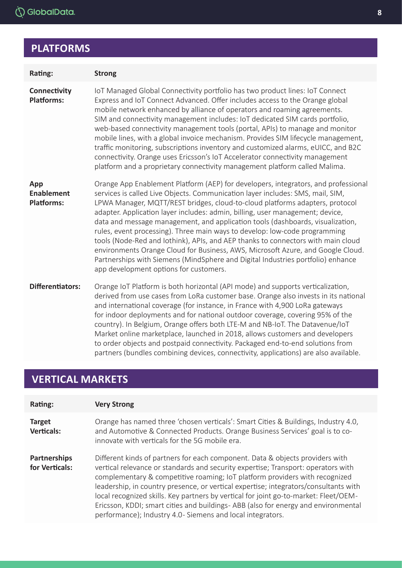# **PLATFORMS**

| Rating:                                       | <b>Strong</b>                                                                                                                                                                                                                                                                                                                                                                                                                                                                                                                                                                                                                                                                                                                                                                                             |
|-----------------------------------------------|-----------------------------------------------------------------------------------------------------------------------------------------------------------------------------------------------------------------------------------------------------------------------------------------------------------------------------------------------------------------------------------------------------------------------------------------------------------------------------------------------------------------------------------------------------------------------------------------------------------------------------------------------------------------------------------------------------------------------------------------------------------------------------------------------------------|
| Connectivity<br><b>Platforms:</b>             | IoT Managed Global Connectivity portfolio has two product lines: IoT Connect<br>Express and IoT Connect Advanced. Offer includes access to the Orange global<br>mobile network enhanced by alliance of operators and roaming agreements.<br>SIM and connectivity management includes: IoT dedicated SIM cards portfolio,<br>web-based connectivity management tools (portal, APIs) to manage and monitor<br>mobile lines, with a global invoice mechanism. Provides SIM lifecycle management,<br>traffic monitoring, subscriptions inventory and customized alarms, eUICC, and B2C<br>connectivity. Orange uses Ericsson's IoT Accelerator connectivity management<br>platform and a proprietary connectivity management platform called Malima.                                                          |
| App<br><b>Enablement</b><br><b>Platforms:</b> | Orange App Enablement Platform (AEP) for developers, integrators, and professional<br>services is called Live Objects. Communication layer includes: SMS, mail, SIM,<br>LPWA Manager, MQTT/REST bridges, cloud-to-cloud platforms adapters, protocol<br>adapter. Application layer includes: admin, billing, user management; device,<br>data and message management, and application tools (dashboards, visualization,<br>rules, event processing). Three main ways to develop: low-code programming<br>tools (Node-Red and Iothink), APIs, and AEP thanks to connectors with main cloud<br>environments Orange Cloud for Business, AWS, Microsoft Azure, and Google Cloud.<br>Partnerships with Siemens (MindSphere and Digital Industries portfolio) enhance<br>app development options for customers. |
| <b>Differentiators:</b>                       | Orange IoT Platform is both horizontal (API mode) and supports verticalization,<br>derived from use cases from LoRa customer base. Orange also invests in its national<br>and international coverage (for instance, in France with 4,900 LoRa gateways<br>for indoor deployments and for national outdoor coverage, covering 95% of the<br>country). In Belgium, Orange offers both LTE-M and NB-IoT. The Datavenue/IoT<br>Market online marketplace, launched in 2018, allows customers and developers<br>to order objects and postpaid connectivity. Packaged end-to-end solutions from<br>partners (bundles combining devices, connectivity, applications) are also available.                                                                                                                         |

# **VERTICAL MARKETS**

| Rating:                            | <b>Very Strong</b>                                                                                                                                                                                                                                                                                                                                                                                                                                                                                                                                                                   |
|------------------------------------|--------------------------------------------------------------------------------------------------------------------------------------------------------------------------------------------------------------------------------------------------------------------------------------------------------------------------------------------------------------------------------------------------------------------------------------------------------------------------------------------------------------------------------------------------------------------------------------|
| <b>Target</b><br><b>Verticals:</b> | Orange has named three 'chosen verticals': Smart Cities & Buildings, Industry 4.0,<br>and Automotive & Connected Products. Orange Business Services' goal is to co-<br>innovate with verticals for the 5G mobile era.                                                                                                                                                                                                                                                                                                                                                                |
| Partnerships<br>for Verticals:     | Different kinds of partners for each component. Data & objects providers with<br>vertical relevance or standards and security expertise; Transport: operators with<br>complementary & competitive roaming; IoT platform providers with recognized<br>leadership, in country presence, or vertical expertise; integrators/consultants with<br>local recognized skills. Key partners by vertical for joint go-to-market: Fleet/OEM-<br>Ericsson, KDDI; smart cities and buildings-ABB (also for energy and environmental<br>performance); Industry 4.0- Siemens and local integrators. |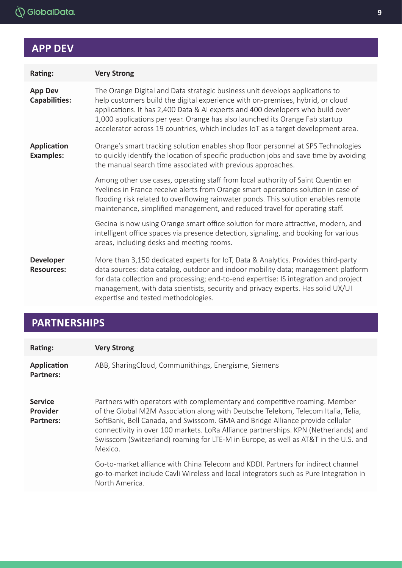# **APP DEV**

| Rating:                                | <b>Very Strong</b>                                                                                                                                                                                                                                                                                                                                                                                                    |
|----------------------------------------|-----------------------------------------------------------------------------------------------------------------------------------------------------------------------------------------------------------------------------------------------------------------------------------------------------------------------------------------------------------------------------------------------------------------------|
| <b>App Dev</b><br><b>Capabilities:</b> | The Orange Digital and Data strategic business unit develops applications to<br>help customers build the digital experience with on-premises, hybrid, or cloud<br>applications. It has 2,400 Data & AI experts and 400 developers who build over<br>1,000 applications per year. Orange has also launched its Orange Fab startup<br>accelerator across 19 countries, which includes IoT as a target development area. |
| <b>Application</b><br><b>Examples:</b> | Orange's smart tracking solution enables shop floor personnel at SPS Technologies<br>to quickly identify the location of specific production jobs and save time by avoiding<br>the manual search time associated with previous approaches.                                                                                                                                                                            |
|                                        | Among other use cases, operating staff from local authority of Saint Quentin en<br>Yvelines in France receive alerts from Orange smart operations solution in case of<br>flooding risk related to overflowing rainwater ponds. This solution enables remote<br>maintenance, simplified management, and reduced travel for operating staff.                                                                            |
|                                        | Gecina is now using Orange smart office solution for more attractive, modern, and<br>intelligent office spaces via presence detection, signaling, and booking for various<br>areas, including desks and meeting rooms.                                                                                                                                                                                                |
| <b>Developer</b><br><b>Resources:</b>  | More than 3,150 dedicated experts for IoT, Data & Analytics. Provides third-party<br>data sources: data catalog, outdoor and indoor mobility data; management platform<br>for data collection and processing; end-to-end expertise: IS integration and project<br>management, with data scientists, security and privacy experts. Has solid UX/UI<br>expertise and tested methodologies.                              |

# **PARTNERSHIPS**

| Rating:                                               | <b>Very Strong</b>                                                                                                                                                                                                                                                                                                                                                                                                                        |
|-------------------------------------------------------|-------------------------------------------------------------------------------------------------------------------------------------------------------------------------------------------------------------------------------------------------------------------------------------------------------------------------------------------------------------------------------------------------------------------------------------------|
| <b>Application</b><br><b>Partners:</b>                | ABB, SharingCloud, Communithings, Energisme, Siemens                                                                                                                                                                                                                                                                                                                                                                                      |
| <b>Service</b><br><b>Provider</b><br><b>Partners:</b> | Partners with operators with complementary and competitive roaming. Member<br>of the Global M2M Association along with Deutsche Telekom, Telecom Italia, Telia,<br>SoftBank, Bell Canada, and Swisscom. GMA and Bridge Alliance provide cellular<br>connectivity in over 100 markets. LoRa Alliance partnerships. KPN (Netherlands) and<br>Swisscom (Switzerland) roaming for LTE-M in Europe, as well as AT&T in the U.S. and<br>Mexico. |
|                                                       | Go-to-market alliance with China Telecom and KDDI. Partners for indirect channel<br>go-to-market include Cavli Wireless and local integrators such as Pure Integration in<br>North America.                                                                                                                                                                                                                                               |